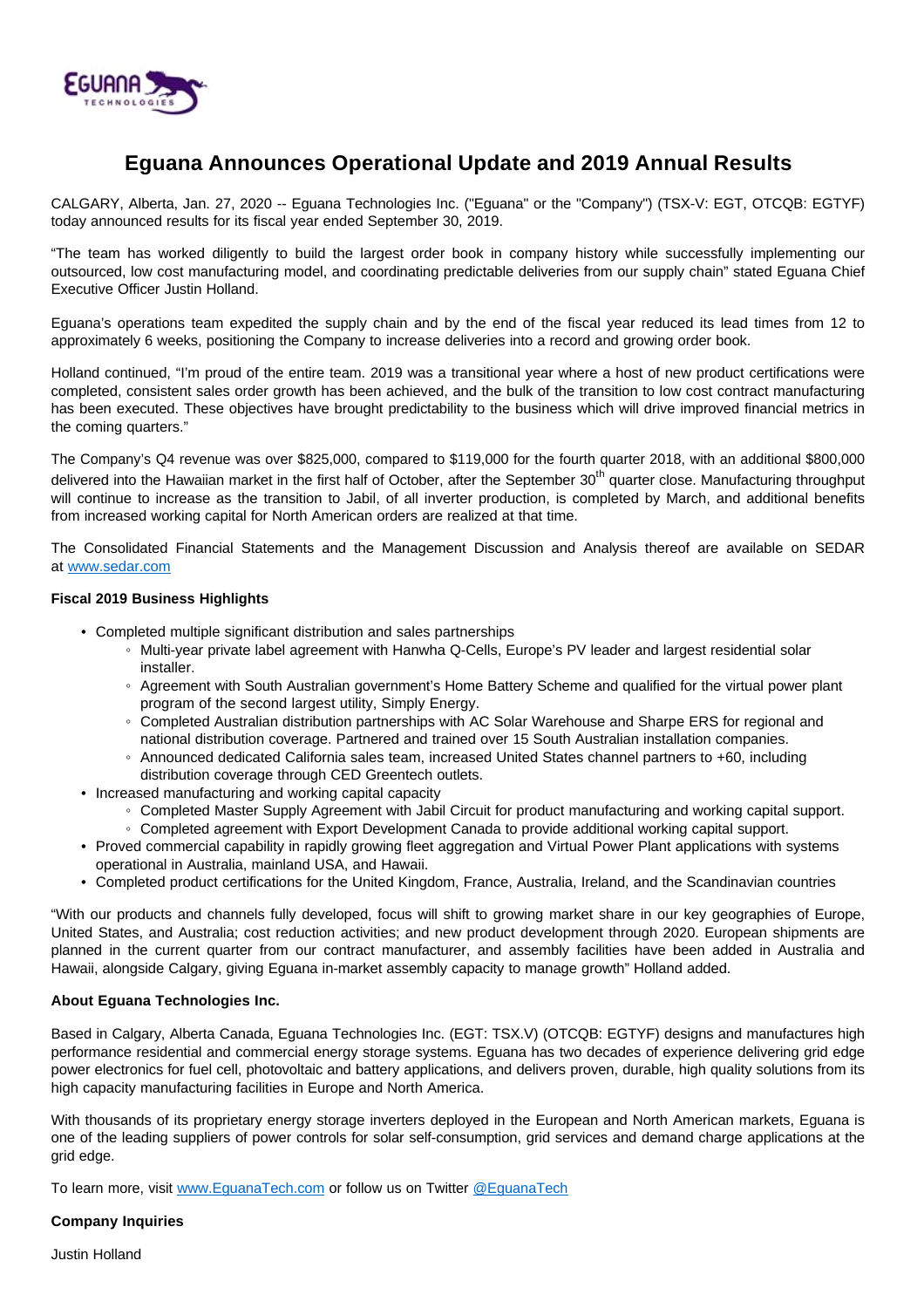

# **Eguana Announces Operational Update and 2019 Annual Results**

CALGARY, Alberta, Jan. 27, 2020 -- Eguana Technologies Inc. ("Eguana" or the "Company") (TSX-V: EGT, OTCQB: EGTYF) today announced results for its fiscal year ended September 30, 2019.

"The team has worked diligently to build the largest order book in company history while successfully implementing our outsourced, low cost manufacturing model, and coordinating predictable deliveries from our supply chain" stated Eguana Chief Executive Officer Justin Holland.

Eguana's operations team expedited the supply chain and by the end of the fiscal year reduced its lead times from 12 to approximately 6 weeks, positioning the Company to increase deliveries into a record and growing order book.

Holland continued, "I'm proud of the entire team. 2019 was a transitional year where a host of new product certifications were completed, consistent sales order growth has been achieved, and the bulk of the transition to low cost contract manufacturing has been executed. These objectives have brought predictability to the business which will drive improved financial metrics in the coming quarters."

The Company's Q4 revenue was over \$825,000, compared to \$119,000 for the fourth quarter 2018, with an additional \$800,000 delivered into the Hawaiian market in the first half of October, after the September 30<sup>th</sup> quarter close. Manufacturing throughput will continue to increase as the transition to Jabil, of all inverter production, is completed by March, and additional benefits from increased working capital for North American orders are realized at that time.

The Consolidated Financial Statements and the Management Discussion and Analysis thereof are available on SEDAR at [www.sedar.com](http://www.sedar.com/)

## **Fiscal 2019 Business Highlights**

- Completed multiple significant distribution and sales partnerships
	- Multi-year private label agreement with Hanwha Q-Cells, Europe's PV leader and largest residential solar installer.
	- Agreement with South Australian government's Home Battery Scheme and qualified for the virtual power plant program of the second largest utility, Simply Energy.
	- Completed Australian distribution partnerships with AC Solar Warehouse and Sharpe ERS for regional and national distribution coverage. Partnered and trained over 15 South Australian installation companies.
	- Announced dedicated California sales team, increased United States channel partners to +60, including distribution coverage through CED Greentech outlets.
- Increased manufacturing and working capital capacity
	- Completed Master Supply Agreement with Jabil Circuit for product manufacturing and working capital support.
	- Completed agreement with Export Development Canada to provide additional working capital support.
- Proved commercial capability in rapidly growing fleet aggregation and Virtual Power Plant applications with systems operational in Australia, mainland USA, and Hawaii.
- Completed product certifications for the United Kingdom, France, Australia, Ireland, and the Scandinavian countries

"With our products and channels fully developed, focus will shift to growing market share in our key geographies of Europe, United States, and Australia; cost reduction activities; and new product development through 2020. European shipments are planned in the current quarter from our contract manufacturer, and assembly facilities have been added in Australia and Hawaii, alongside Calgary, giving Eguana in-market assembly capacity to manage growth" Holland added.

# **About Eguana Technologies Inc.**

Based in Calgary, Alberta Canada, Eguana Technologies Inc. (EGT: TSX.V) (OTCQB: EGTYF) designs and manufactures high performance residential and commercial energy storage systems. Eguana has two decades of experience delivering grid edge power electronics for fuel cell, photovoltaic and battery applications, and delivers proven, durable, high quality solutions from its high capacity manufacturing facilities in Europe and North America.

With thousands of its proprietary energy storage inverters deployed in the European and North American markets, Eguana is one of the leading suppliers of power controls for solar self-consumption, grid services and demand charge applications at the grid edge.

To learn more, visit [www.EguanaTech.com](http://www.eguanatech.com/) or follow us on Twitter [@EguanaTech](https://twitter.com/EguanaTech)

#### **Company Inquiries**

Justin Holland